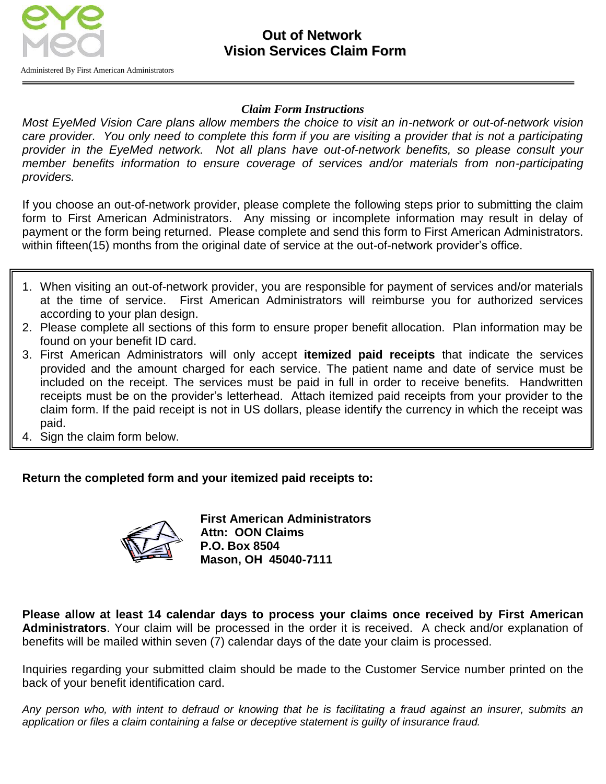

### **Out of Network Vision Services Claim Form**

*Claim Form Instructions*

*Most EyeMed Vision Care plans allow members the choice to visit an in-network or out-of-network vision*  care provider. You only need to complete this form if you are visiting a provider that is not a participating *provider in the EyeMed network. Not all plans have out-of-network benefits, so please consult your member benefits information to ensure coverage of services and/or materials from non-participating providers.*

If you choose an out-of-network provider, please complete the following steps prior to submitting the claim form to First American Administrators. Any missing or incomplete information may result in delay of payment or the form being returned. Please complete and send this form to First American Administrators. within fifteen(15) months from the original date of service at the out-of-network provider's office.

- 1. When visiting an out-of-network provider, you are responsible for payment of services and/or materials at the time of service. First American Administrators will reimburse you for authorized services according to your plan design.
- 2. Please complete all sections of this form to ensure proper benefit allocation. Plan information may be found on your benefit ID card.
- 3. First American Administrators will only accept **itemized paid receipts** that indicate the services provided and the amount charged for each service. The patient name and date of service must be included on the receipt. The services must be paid in full in order to receive benefits. Handwritten receipts must be on the provider's letterhead. Attach itemized paid receipts from your provider to the claim form. If the paid receipt is not in US dollars, please identify the currency in which the receipt was paid.
- 4. Sign the claim form below.

#### **Return the completed form and your itemized paid receipts to:**



**First American Administrators Attn: OON Claims P.O. Box 8504 Mason, OH 45040-7111**

**Please allow at least 14 calendar days to process your claims once received by First American Administrators**. Your claim will be processed in the order it is received. A check and/or explanation of benefits will be mailed within seven (7) calendar days of the date your claim is processed.

Inquiries regarding your submitted claim should be made to the Customer Service number printed on the back of your benefit identification card.

Any person who, with intent to defraud or knowing that he is facilitating a fraud against an insurer, submits an *application or files a claim containing a false or deceptive statement is guilty of insurance fraud.*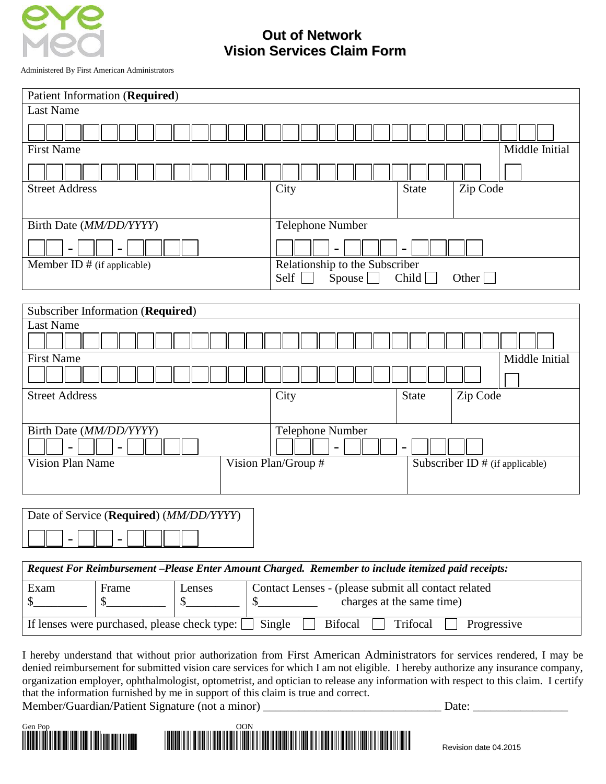

## **Out of Network Vision Services Claim Form**

Administered By First American Administrators

| <b>Patient Information (Required)</b>                |                                                                             |  |  |
|------------------------------------------------------|-----------------------------------------------------------------------------|--|--|
| <b>Last Name</b>                                     |                                                                             |  |  |
|                                                      |                                                                             |  |  |
| <b>First Name</b><br>Middle Initial                  |                                                                             |  |  |
|                                                      |                                                                             |  |  |
| <b>Street Address</b>                                | City<br><b>State</b><br>Zip Code                                            |  |  |
| Birth Date (MM/DD/YYYY)                              | Telephone Number                                                            |  |  |
| $\blacksquare$                                       | $\overline{\phantom{0}}$                                                    |  |  |
| Member ID $#$ (if applicable)                        | Relationship to the Subscriber<br>Self<br>Other $\Box$<br>Spouse  <br>Child |  |  |
|                                                      |                                                                             |  |  |
| Subscriber Information (Required)                    |                                                                             |  |  |
| <b>Last Name</b>                                     |                                                                             |  |  |
| <b>First Name</b><br>Middle Initial                  |                                                                             |  |  |
|                                                      |                                                                             |  |  |
| <b>Street Address</b>                                | City<br><b>State</b><br>Zip Code                                            |  |  |
| Birth Date (MM/DD/YYYY)                              | Telephone Number                                                            |  |  |
| $\overline{\phantom{0}}$<br>$\overline{\phantom{0}}$ | $\qquad \qquad \blacksquare$<br>$\qquad \qquad -$                           |  |  |
| <b>Vision Plan Name</b>                              | Vision Plan/Group #<br>Subscriber ID # (if applicable)                      |  |  |

| Date of Service (Required) ( <i>MM/DD/YYYY</i> ) |  |  |  |
|--------------------------------------------------|--|--|--|
|                                                  |  |  |  |

*Request For Reimbursement –Please Enter Amount Charged. Remember to include itemized paid receipts:* Exam  $\frac{1}{2}$ Frame  $\frac{1}{2}$ Lenses  $$$ Contact Lenses - (please submit all contact related \$ If lenses were purchased, please check type:  $\Box$  Single  $\Box$  Bifocal  $\Box$  Trifocal  $\Box$  Progressive

I hereby understand that without prior authorization from First American Administrators for services rendered, I may be denied reimbursement for submitted vision care services for which I am not eligible. I hereby authorize any insurance company, organization employer, ophthalmologist, optometrist, and optician to release any information with respect to this claim. I certify that the information furnished by me in support of this claim is true and correct.

Member/Guardian/Patient Signature (not a minor) \_\_\_\_\_\_\_\_\_\_\_\_\_\_\_\_\_\_\_\_\_\_\_\_\_\_\_\_\_\_\_\_\_ Date:



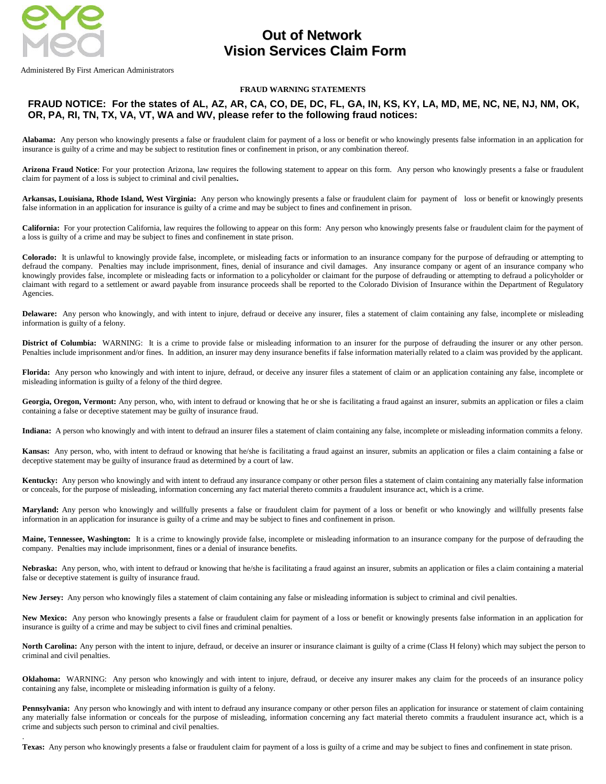

.

Administered By First American Administrators

### **Out of Network Vision Services Claim Form**

#### **FRAUD WARNING STATEMENTS**

#### **FRAUD NOTICE: For the states of AL, AZ, AR, CA, CO, DE, DC, FL, GA, IN, KS, KY, LA, MD, ME, NC, NE, NJ, NM, OK, OR, PA, RI, TN, TX, VA, VT, WA and WV, please refer to the following fraud notices:**

**Alabama:** Any person who knowingly presents a false or fraudulent claim for payment of a loss or benefit or who knowingly presents false information in an application for insurance is guilty of a crime and may be subject to restitution fines or confinement in prison, or any combination thereof.

**Arizona Fraud Notice**: For your protection Arizona, law requires the following statement to appear on this form. Any person who knowingly presents a false or fraudulent claim for payment of a loss is subject to criminal and civil penalties**.**

**Arkansas, Louisiana, Rhode Island, West Virginia:** Any person who knowingly presents a false or fraudulent claim for payment of loss or benefit or knowingly presents false information in an application for insurance is guilty of a crime and may be subject to fines and confinement in prison.

**California:** For your protection California, law requires the following to appear on this form: Any person who knowingly presents false or fraudulent claim for the payment of a loss is guilty of a crime and may be subject to fines and confinement in state prison.

**Colorado:** It is unlawful to knowingly provide false, incomplete, or misleading facts or information to an insurance company for the purpose of defrauding or attempting to defraud the company. Penalties may include imprisonment, fines, denial of insurance and civil damages. Any insurance company or agent of an insurance company who knowingly provides false, incomplete or misleading facts or information to a policyholder or claimant for the purpose of defrauding or attempting to defraud a policyholder or claimant with regard to a settlement or award payable from insurance proceeds shall be reported to the Colorado Division of Insurance within the Department of Regulatory Agencies.

**Delaware:** Any person who knowingly, and with intent to injure, defraud or deceive any insurer, files a statement of claim containing any false, incomplete or misleading information is guilty of a felony.

District of Columbia: WARNING: It is a crime to provide false or misleading information to an insurer for the purpose of defrauding the insurer or any other person. Penalties include imprisonment and/or fines. In addition, an insurer may deny insurance benefits if false information materially related to a claim was provided by the applicant.

Florida: Any person who knowingly and with intent to injure, defraud, or deceive any insurer files a statement of claim or an application containing any false, incomplete or misleading information is guilty of a felony of the third degree.

Georgia, Oregon, Vermont: Any person, who, with intent to defraud or knowing that he or she is facilitating a fraud against an insurer, submits an application or files a claim containing a false or deceptive statement may be guilty of insurance fraud.

**Indiana:** A person who knowingly and with intent to defraud an insurer files a statement of claim containing any false, incomplete or misleading information commits a felony.

**Kansas:** Any person, who, with intent to defraud or knowing that he/she is facilitating a fraud against an insurer, submits an application or files a claim containing a false or deceptive statement may be guilty of insurance fraud as determined by a court of law.

**Kentucky:** Any person who knowingly and with intent to defraud any insurance company or other person files a statement of claim containing any materially false information or conceals, for the purpose of misleading, information concerning any fact material thereto commits a fraudulent insurance act, which is a crime.

**Maryland:** Any person who knowingly and willfully presents a false or fraudulent claim for payment of a loss or benefit or who knowingly and willfully presents false information in an application for insurance is guilty of a crime and may be subject to fines and confinement in prison.

**Maine, Tennessee, Washington:** It is a crime to knowingly provide false, incomplete or misleading information to an insurance company for the purpose of defrauding the company. Penalties may include imprisonment, fines or a denial of insurance benefits.

Nebraska: Any person, who, with intent to defraud or knowing that he/she is facilitating a fraud against an insurer, submits an application or files a claim containing a material false or deceptive statement is guilty of insurance fraud.

New Jersey: Any person who knowingly files a statement of claim containing any false or misleading information is subject to criminal and civil penalties.

New Mexico: Any person who knowingly presents a false or fraudulent claim for payment of a loss or benefit or knowingly presents false information in an application for insurance is guilty of a crime and may be subject to civil fines and criminal penalties.

North Carolina: Any person with the intent to injure, defraud, or deceive an insurer or insurance claimant is guilty of a crime (Class H felony) which may subject the person to criminal and civil penalties.

**Oklahoma:** WARNING: Any person who knowingly and with intent to injure, defraud, or deceive any insurer makes any claim for the proceeds of an insurance policy containing any false, incomplete or misleading information is guilty of a felony.

Pennsylvania: Any person who knowingly and with intent to defraud any insurance company or other person files an application for insurance or statement of claim containing any materially false information or conceals for the purpose of misleading, information concerning any fact material thereto commits a fraudulent insurance act, which is a crime and subjects such person to criminal and civil penalties.

**Texas:** Any person who knowingly presents a false or fraudulent claim for payment of a loss is guilty of a crime and may be subject to fines and confinement in state prison.